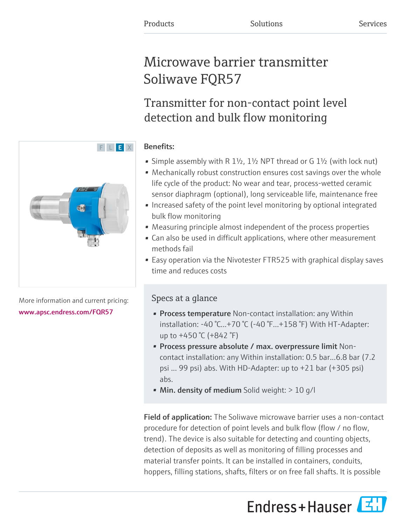# Microwave barrier transmitter Soliwave FQR57

Transmitter for non-contact point level detection and bulk flow monitoring

## Benefits:

- Simple assembly with R  $1\frac{1}{2}$ ,  $1\frac{1}{2}$  NPT thread or G  $1\frac{1}{2}$  (with lock nut)
- Mechanically robust construction ensures cost savings over the whole life cycle of the product: No wear and tear, process-wetted ceramic sensor diaphragm (optional), long serviceable life, maintenance free
- Increased safety of the point level monitoring by optional integrated bulk flow monitoring
- Measuring principle almost independent of the process properties
- Can also be used in difficult applications, where other measurement methods fail
- Easy operation via the Nivotester FTR525 with graphical display saves time and reduces costs

## Specs at a glance

- Process temperature Non-contact installation: any Within installation: -40 °C...+70 °C (-40 °F...+158 °F) With HT-Adapter: up to +450 °C (+842 °F)
- Process pressure absolute / max. overpressure limit Noncontact installation: any Within installation: 0.5 bar...6.8 bar (7.2 psi ... 99 psi) abs. With HD-Adapter: up to +21 bar (+305 psi) abs.
- Min. density of medium Solid weight:  $> 10$  g/l

Field of application: The Soliwave microwave barrier uses a non-contact procedure for detection of point levels and bulk flow (flow / no flow, trend). The device is also suitable for detecting and counting objects, detection of deposits as well as monitoring of filling processes and material transfer points. It can be installed in containers, conduits, hoppers, filling stations, shafts, filters or on free fall shafts. It is possible





More information and current pricing: [www.apsc.endress.com/FQR57](https://www.apsc.endress.com/FQR57)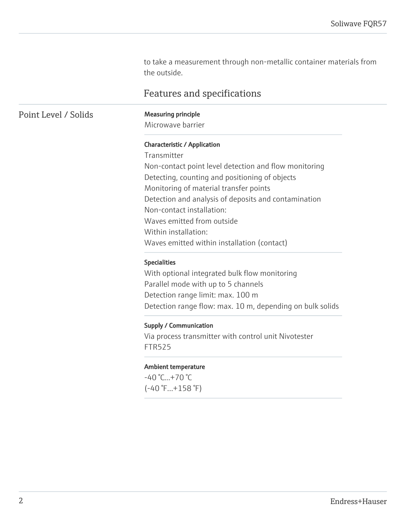to take a measurement through non-metallic container materials from the outside.

## Features and specifications

Point Level / Solids Measuring principle

Microwave barrier

#### Characteristic / Application

Transmitter Non-contact point level detection and flow monitoring Detecting, counting and positioning of objects Monitoring of material transfer points Detection and analysis of deposits and contamination Non-contact installation: Waves emitted from outside Within installation: Waves emitted within installation (contact)

#### Specialities

With optional integrated bulk flow monitoring Parallel mode with up to 5 channels Detection range limit: max. 100 m Detection range flow: max. 10 m, depending on bulk solids

#### Supply / Communication

Via process transmitter with control unit Nivotester FTR525

#### Ambient temperature

 $-40$  °C... $+70$  °C (-40 °F...+158 °F)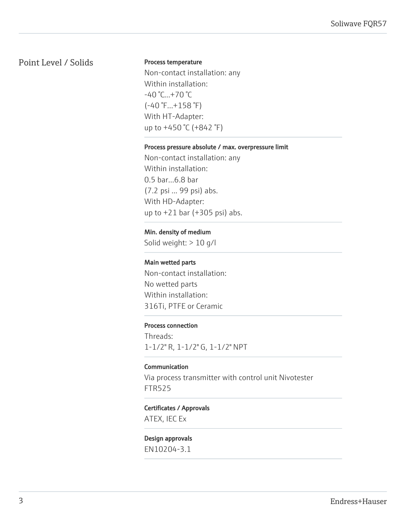## Point Level / Solids

#### Process temperature

Non-contact installation: any Within installation: -40 °C...+70 °C (-40 °F...+158 °F) With HT-Adapter: up to +450 °C (+842 °F)

#### Process pressure absolute / max. overpressure limit

Non-contact installation: any Within installation: 0.5 bar...6.8 bar (7.2 psi ... 99 psi) abs. With HD-Adapter: up to +21 bar (+305 psi) abs.

#### Min. density of medium

Solid weight: > 10 g/l

#### Main wetted parts

Non-contact installation: No wetted parts Within installation: 316Ti, PTFE or Ceramic

#### Process connection

Threads: 1-1/2" R, 1-1/2" G, 1-1/2" NPT

#### Communication

Via process transmitter with control unit Nivotester FTR525

#### Certificates / Approvals

ATEX, IEC Ex

## Design approvals

EN10204-3.1